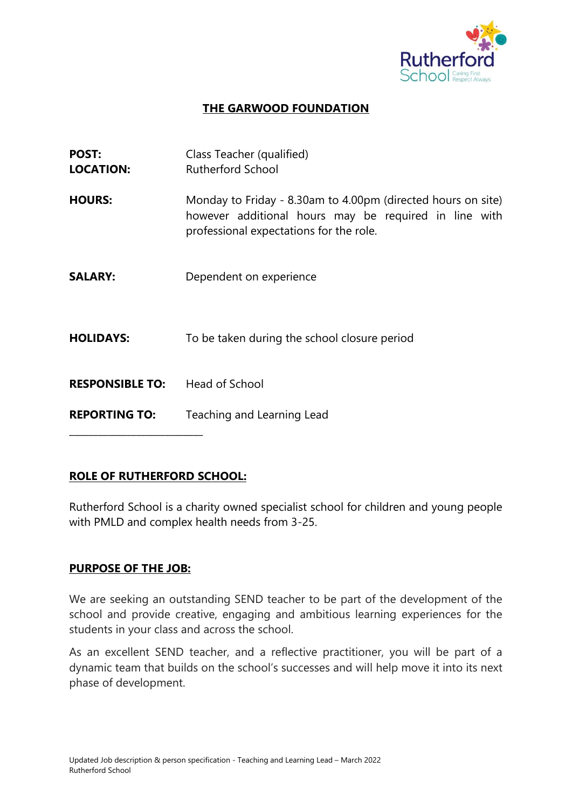

## **THE GARWOOD FOUNDATION**

| <b>POST:</b><br><b>LOCATION:</b> | Class Teacher (qualified)<br><b>Rutherford School</b>                                                                                                            |
|----------------------------------|------------------------------------------------------------------------------------------------------------------------------------------------------------------|
| <b>HOURS:</b>                    | Monday to Friday - 8.30am to 4.00pm (directed hours on site)<br>however additional hours may be required in line with<br>professional expectations for the role. |
| <b>SALARY:</b>                   | Dependent on experience                                                                                                                                          |
| <b>HOLIDAYS:</b>                 | To be taken during the school closure period                                                                                                                     |
| <b>RESPONSIBLE TO:</b>           | Head of School                                                                                                                                                   |
| <b>REPORTING TO:</b>             | Teaching and Learning Lead                                                                                                                                       |

### **ROLE OF RUTHERFORD SCHOOL:**

Rutherford School is a charity owned specialist school for children and young people with PMLD and complex health needs from 3-25.

### **PURPOSE OF THE JOB:**

We are seeking an outstanding SEND teacher to be part of the development of the school and provide creative, engaging and ambitious learning experiences for the students in your class and across the school.

As an excellent SEND teacher, and a reflective practitioner, you will be part of a dynamic team that builds on the school's successes and will help move it into its next phase of development.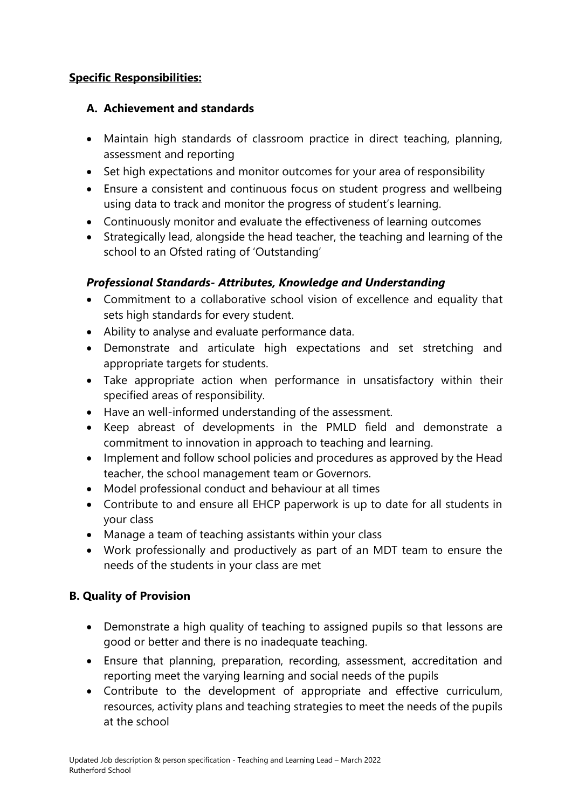### **Specific Responsibilities:**

### **A. Achievement and standards**

- Maintain high standards of classroom practice in direct teaching, planning, assessment and reporting
- Set high expectations and monitor outcomes for your area of responsibility
- Ensure a consistent and continuous focus on student progress and wellbeing using data to track and monitor the progress of student's learning.
- Continuously monitor and evaluate the effectiveness of learning outcomes
- Strategically lead, alongside the head teacher, the teaching and learning of the school to an Ofsted rating of 'Outstanding'

# *Professional Standards- Attributes, Knowledge and Understanding*

- Commitment to a collaborative school vision of excellence and equality that sets high standards for every student.
- Ability to analyse and evaluate performance data.
- Demonstrate and articulate high expectations and set stretching and appropriate targets for students.
- Take appropriate action when performance in unsatisfactory within their specified areas of responsibility.
- Have an well-informed understanding of the assessment.
- Keep abreast of developments in the PMLD field and demonstrate a commitment to innovation in approach to teaching and learning.
- Implement and follow school policies and procedures as approved by the Head teacher, the school management team or Governors.
- Model professional conduct and behaviour at all times
- Contribute to and ensure all EHCP paperwork is up to date for all students in your class
- Manage a team of teaching assistants within your class
- Work professionally and productively as part of an MDT team to ensure the needs of the students in your class are met

# **B. Quality of Provision**

- Demonstrate a high quality of teaching to assigned pupils so that lessons are good or better and there is no inadequate teaching.
- Ensure that planning, preparation, recording, assessment, accreditation and reporting meet the varying learning and social needs of the pupils
- Contribute to the development of appropriate and effective curriculum, resources, activity plans and teaching strategies to meet the needs of the pupils at the school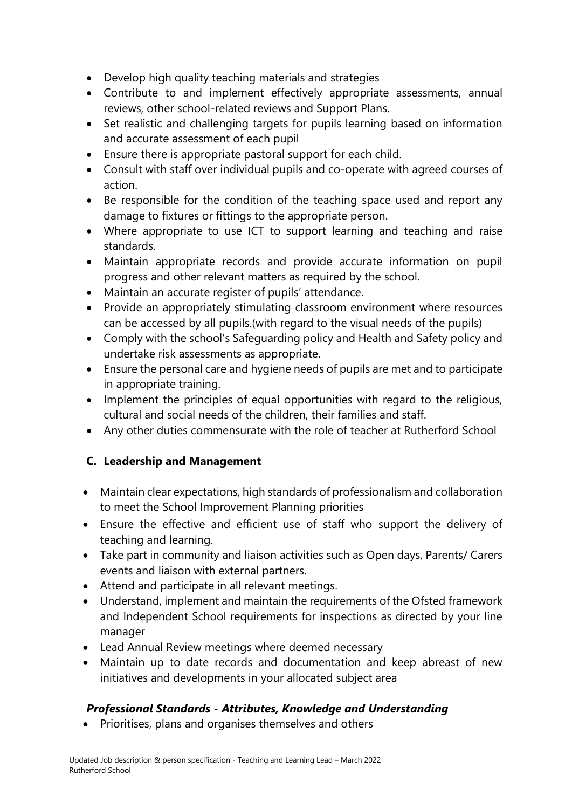- Develop high quality teaching materials and strategies
- Contribute to and implement effectively appropriate assessments, annual reviews, other school-related reviews and Support Plans.
- Set realistic and challenging targets for pupils learning based on information and accurate assessment of each pupil
- Ensure there is appropriate pastoral support for each child.
- Consult with staff over individual pupils and co-operate with agreed courses of action.
- Be responsible for the condition of the teaching space used and report any damage to fixtures or fittings to the appropriate person.
- Where appropriate to use ICT to support learning and teaching and raise standards.
- Maintain appropriate records and provide accurate information on pupil progress and other relevant matters as required by the school.
- Maintain an accurate register of pupils' attendance.
- Provide an appropriately stimulating classroom environment where resources can be accessed by all pupils.(with regard to the visual needs of the pupils)
- Comply with the school's Safeguarding policy and Health and Safety policy and undertake risk assessments as appropriate.
- Ensure the personal care and hygiene needs of pupils are met and to participate in appropriate training.
- Implement the principles of equal opportunities with regard to the religious, cultural and social needs of the children, their families and staff.
- Any other duties commensurate with the role of teacher at Rutherford School

# **C. Leadership and Management**

- Maintain clear expectations, high standards of professionalism and collaboration to meet the School Improvement Planning priorities
- Ensure the effective and efficient use of staff who support the delivery of teaching and learning.
- Take part in community and liaison activities such as Open days, Parents/ Carers events and liaison with external partners.
- Attend and participate in all relevant meetings.
- Understand, implement and maintain the requirements of the Ofsted framework and Independent School requirements for inspections as directed by your line manager
- Lead Annual Review meetings where deemed necessary
- Maintain up to date records and documentation and keep abreast of new initiatives and developments in your allocated subject area

# *Professional Standards - Attributes, Knowledge and Understanding*

Prioritises, plans and organises themselves and others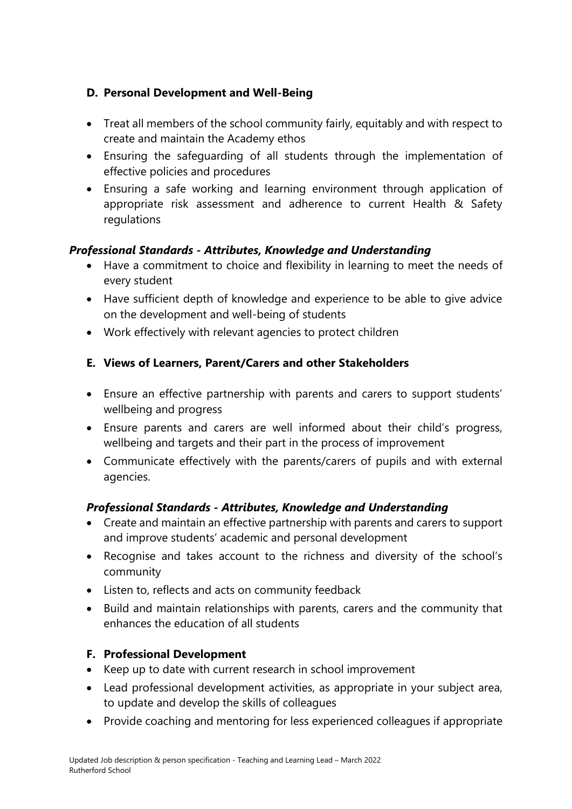# **D. Personal Development and Well-Being**

- Treat all members of the school community fairly, equitably and with respect to create and maintain the Academy ethos
- Ensuring the safeguarding of all students through the implementation of effective policies and procedures
- Ensuring a safe working and learning environment through application of appropriate risk assessment and adherence to current Health & Safety regulations

# *Professional Standards - Attributes, Knowledge and Understanding*

- Have a commitment to choice and flexibility in learning to meet the needs of every student
- Have sufficient depth of knowledge and experience to be able to give advice on the development and well-being of students
- Work effectively with relevant agencies to protect children

# **E. Views of Learners, Parent/Carers and other Stakeholders**

- Ensure an effective partnership with parents and carers to support students' wellbeing and progress
- Ensure parents and carers are well informed about their child's progress, wellbeing and targets and their part in the process of improvement
- Communicate effectively with the parents/carers of pupils and with external agencies.

# *Professional Standards - Attributes, Knowledge and Understanding*

- Create and maintain an effective partnership with parents and carers to support and improve students' academic and personal development
- Recognise and takes account to the richness and diversity of the school's community
- Listen to, reflects and acts on community feedback
- Build and maintain relationships with parents, carers and the community that enhances the education of all students

# **F. Professional Development**

- Keep up to date with current research in school improvement
- Lead professional development activities, as appropriate in your subject area, to update and develop the skills of colleagues
- Provide coaching and mentoring for less experienced colleagues if appropriate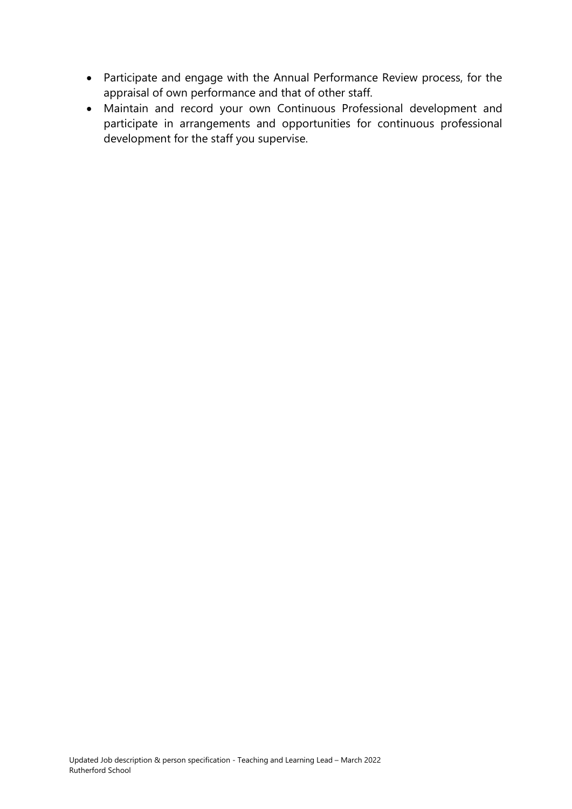- Participate and engage with the Annual Performance Review process, for the appraisal of own performance and that of other staff.
- Maintain and record your own Continuous Professional development and participate in arrangements and opportunities for continuous professional development for the staff you supervise.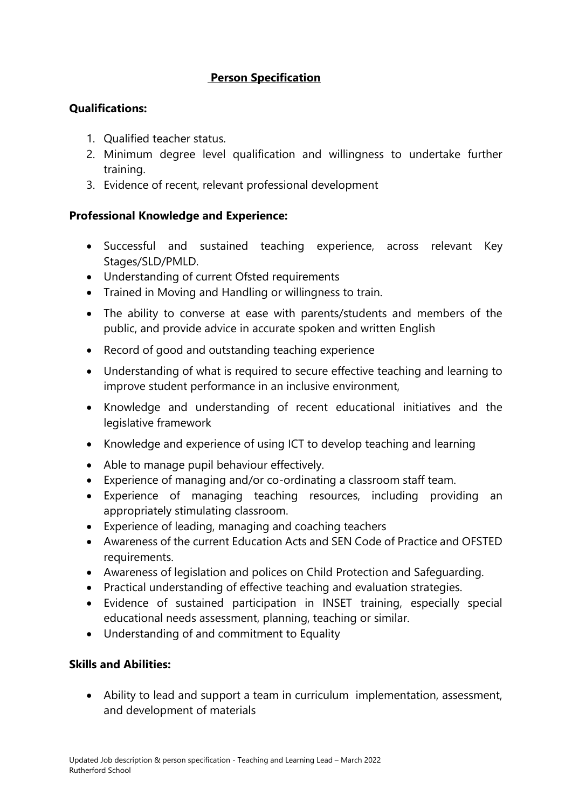## **Person Specification**

### **Qualifications:**

- 1. Qualified teacher status.
- 2. Minimum degree level qualification and willingness to undertake further training.
- 3. Evidence of recent, relevant professional development

### **Professional Knowledge and Experience:**

- Successful and sustained teaching experience, across relevant Key Stages/SLD/PMLD.
- Understanding of current Ofsted requirements
- Trained in Moving and Handling or willingness to train.
- The ability to converse at ease with parents/students and members of the public, and provide advice in accurate spoken and written English
- Record of good and outstanding teaching experience
- Understanding of what is required to secure effective teaching and learning to improve student performance in an inclusive environment,
- Knowledge and understanding of recent educational initiatives and the legislative framework
- Knowledge and experience of using ICT to develop teaching and learning
- Able to manage pupil behaviour effectively.
- Experience of managing and/or co-ordinating a classroom staff team.
- Experience of managing teaching resources, including providing an appropriately stimulating classroom.
- Experience of leading, managing and coaching teachers
- Awareness of the current Education Acts and SEN Code of Practice and OFSTED requirements.
- Awareness of legislation and polices on Child Protection and Safeguarding.
- Practical understanding of effective teaching and evaluation strategies.
- Evidence of sustained participation in INSET training, especially special educational needs assessment, planning, teaching or similar.
- Understanding of and commitment to Equality

### **Skills and Abilities:**

 Ability to lead and support a team in curriculum implementation, assessment, and development of materials